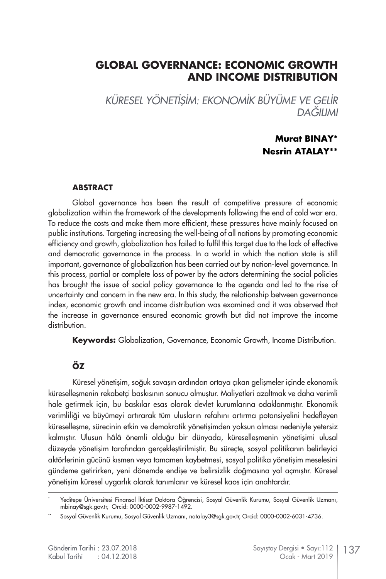# **GLOBAL GOVERNANCE: ECONOMIC GROWTH AND INCOME DISTRIBUTION**

*KÜRESEL YÖNETİŞİM: EKONOMİK BÜYÜME VE GELİR DAĞILIMI*

#### **Murat BINAY\* Nesrin ATALAY\*\***

#### **ABSTRACT**

Global governance has been the result of competitive pressure of economic globalization within the framework of the developments following the end of cold war era. To reduce the costs and make them more efficient, these pressures have mainly focused on public institutions. Targeting increasing the well-being of all nations by promoting economic efficiency and growth, globalization has failed to fulfil this target due to the lack of effective and democratic governance in the process. In a world in which the nation state is still important, governance of globalization has been carried out by nation-level governance. In this process, partial or complete loss of power by the actors determining the social policies has brought the issue of social policy governance to the agenda and led to the rise of uncertainty and concern in the new era. In this study, the relationship between governance index, economic growth and income distribution was examined and it was observed that the increase in governance ensured economic growth but did not improve the income distribution.

**Keywords:** Globalization, Governance, Economic Growth, Income Distribution.

#### **ÖZ**

Küresel yönetişim, soğuk savaşın ardından ortaya çıkan gelişmeler içinde ekonomik küreselleşmenin rekabetçi baskısının sonucu olmuştur. Maliyetleri azaltmak ve daha verimli hale getirmek için, bu baskılar esas olarak devlet kurumlarına odaklanmıştır. Ekonomik verimliliği ve büyümeyi artırarak tüm ulusların refahını artırma potansiyelini hedefleyen küreselleşme, sürecinin etkin ve demokratik yönetişimden yoksun olması nedeniyle yetersiz kalmıştır. Ulusun hâlâ önemli olduğu bir dünyada, küreselleşmenin yönetişimi ulusal düzeyde yönetişim tarafından gerçekleştirilmiştir. Bu süreçte, sosyal politikanın belirleyici aktörlerinin gücünü kısmen veya tamamen kaybetmesi, sosyal politika yönetişim meselesini gündeme getirirken, yeni dönemde endişe ve belirsizlik doğmasına yol açmıştır. Küresel yönetişim küresel uygarlık olarak tanımlanır ve küresel kaos için anahtardır.

<sup>\*</sup> Yeditepe Üniversitesi Finansal İktisat Doktora Öğrencisi, Sosyal Güvenlik Kurumu, Sosyal Güvenlik Uzmanı, mbinay@sgk.gov.tr, Orcid: 0000-0002-9987-1492.

Sosyal Güvenlik Kurumu, Sosyal Güvenlik Uzmanı, natalay3@sak.gov.tr, Orcid: 0000-0002-6031-4736.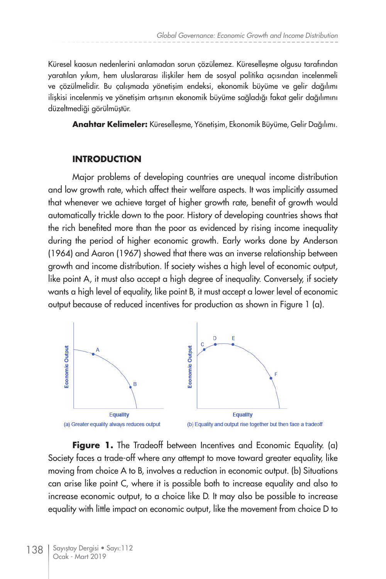Küresel kaosun nedenlerini anlamadan sorun çözülemez. Küreselleşme olgusu tarafından yaratılan yıkım, hem uluslararası ilişkiler hem de sosyal politika açısından incelenmeli ve çözülmelidir. Bu çalışmada yönetişim endeksi, ekonomik büyüme ve gelir dağılımı ilişkisi incelenmiş ve yönetişim artışının ekonomik büyüme sağladığı fakat gelir dağılımını düzeltmediği görülmüştür.

**Anahtar Kelimeler:** Küreselleşme, Yönetişim, Ekonomik Büyüme, Gelir Dağılımı.

#### **INTRODUCTION**

Major problems of developing countries are unequal income distribution and low growth rate, which affect their welfare aspects. It was implicitly assumed that whenever we achieve target of higher growth rate, benefit of growth would automatically trickle down to the poor. History of developing countries shows that the rich benefited more than the poor as evidenced by rising income inequality during the period of higher economic growth. Early works done by Anderson (1964) and Aaron (1967) showed that there was an inverse relationship between growth and income distribution. If society wishes a high level of economic output, like point A, it must also accept a high degree of inequality. Conversely, if society wants a high level of equality, like point B, it must accept a lower level of economic output because of reduced incentives for production as shown in Figure 1 (a).



**Figure 1.** The Tradeoff between Incentives and Economic Equality. (a) Society faces a trade-off where any attempt to move toward greater equality, like moving from choice A to B, involves a reduction in economic output. (b) Situations can arise like point C, where it is possible both to increase equality and also to increase economic output, to a choice like D. It may also be possible to increase equality with little impact on economic output, like the movement from choice D to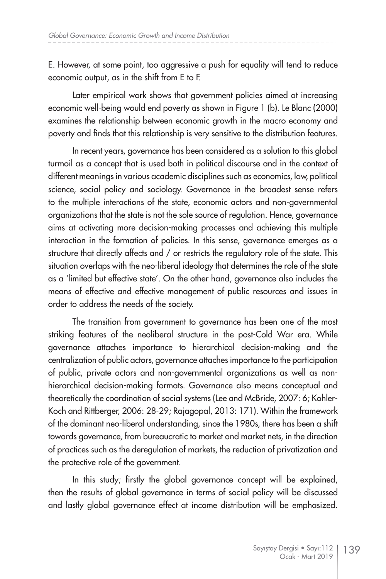E. However, at some point, too aggressive a push for equality will tend to reduce economic output, as in the shift from E to F.

Later empirical work shows that government policies aimed at increasing economic well-being would end poverty as shown in Figure 1 (b). Le Blanc (2000) examines the relationship between economic growth in the macro economy and poverty and finds that this relationship is very sensitive to the distribution features.

In recent years, governance has been considered as a solution to this global turmoil as a concept that is used both in political discourse and in the context of different meanings in various academic disciplines such as economics, law, political science, social policy and sociology. Governance in the broadest sense refers to the multiple interactions of the state, economic actors and non-governmental organizations that the state is not the sole source of regulation. Hence, governance aims at activating more decision-making processes and achieving this multiple interaction in the formation of policies. In this sense, governance emerges as a structure that directly affects and / or restricts the regulatory role of the state. This situation overlaps with the neo-liberal ideology that determines the role of the state as a 'limited but effective state'. On the other hand, governance also includes the means of effective and effective management of public resources and issues in order to address the needs of the society.

The transition from government to governance has been one of the most striking features of the neoliberal structure in the post-Cold War era. While governance attaches importance to hierarchical decision-making and the centralization of public actors, governance attaches importance to the participation of public, private actors and non-governmental organizations as well as nonhierarchical decision-making formats. Governance also means conceptual and theoretically the coordination of social systems (Lee and McBride, 2007: 6; Kohler-Koch and Rittberger, 2006: 28-29; Rajagopal, 2013: 171). Within the framework of the dominant neo-liberal understanding, since the 1980s, there has been a shift towards governance, from bureaucratic to market and market nets, in the direction of practices such as the deregulation of markets, the reduction of privatization and the protective role of the government.

In this study; firstly the global governance concept will be explained, then the results of global governance in terms of social policy will be discussed and lastly global governance effect at income distribution will be emphasized.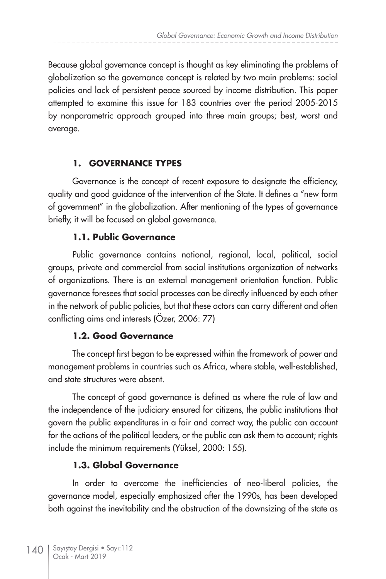Because global governance concept is thought as key eliminating the problems of globalization so the governance concept is related by two main problems: social policies and lack of persistent peace sourced by income distribution. This paper attempted to examine this issue for 183 countries over the period 2005-2015 by nonparametric approach grouped into three main groups; best, worst and average.

# **1. GOVERNANCE TYPES**

Governance is the concept of recent exposure to designate the efficiency, quality and good guidance of the intervention of the State. It defines a "new form of government" in the globalization. After mentioning of the types of governance briefly, it will be focused on global governance.

# **1.1. Public Governance**

Public governance contains national, regional, local, political, social groups, private and commercial from social institutions organization of networks of organizations. There is an external management orientation function. Public governance foresees that social processes can be directly influenced by each other in the network of public policies, but that these actors can carry different and often conflicting aims and interests (Özer, 2006: 77)

# **1.2. Good Governance**

The concept first began to be expressed within the framework of power and management problems in countries such as Africa, where stable, well-established, and state structures were absent.

The concept of good governance is defined as where the rule of law and the independence of the judiciary ensured for citizens, the public institutions that govern the public expenditures in a fair and correct way, the public can account for the actions of the political leaders, or the public can ask them to account; rights include the minimum requirements (Yüksel, 2000: 155).

# **1.3. Global Governance**

In order to overcome the inefficiencies of neo-liberal policies, the governance model, especially emphasized after the 1990s, has been developed both against the inevitability and the obstruction of the downsizing of the state as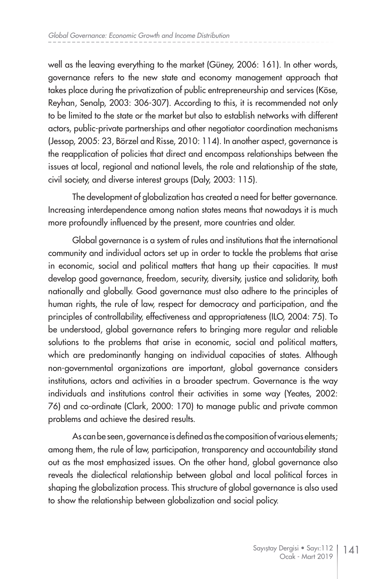well as the leaving everything to the market (Güney, 2006: 161). In other words, governance refers to the new state and economy management approach that takes place during the privatization of public entrepreneurship and services (Köse, Reyhan, Senalp, 2003: 306-307). According to this, it is recommended not only to be limited to the state or the market but also to establish networks with different actors, public-private partnerships and other negotiator coordination mechanisms (Jessop, 2005: 23, Börzel and Risse, 2010: 114). In another aspect, governance is the reapplication of policies that direct and encompass relationships between the issues at local, regional and national levels, the role and relationship of the state, civil society, and diverse interest groups (Daly, 2003: 115).

The development of globalization has created a need for better governance. Increasing interdependence among nation states means that nowadays it is much more profoundly influenced by the present, more countries and older.

Global governance is a system of rules and institutions that the international community and individual actors set up in order to tackle the problems that arise in economic, social and political matters that hang up their capacities. It must develop good governance, freedom, security, diversity, justice and solidarity, both nationally and globally. Good governance must also adhere to the principles of human rights, the rule of law, respect for democracy and participation, and the principles of controllability, effectiveness and appropriateness (ILO, 2004: 75). To be understood, global governance refers to bringing more regular and reliable solutions to the problems that arise in economic, social and political matters, which are predominantly hanging on individual capacities of states. Although non-governmental organizations are important, global governance considers institutions, actors and activities in a broader spectrum. Governance is the way individuals and institutions control their activities in some way (Yeates, 2002: 76) and co-ordinate (Clark, 2000: 170) to manage public and private common problems and achieve the desired results.

As can be seen, governance is defined as the composition of various elements; among them, the rule of law, participation, transparency and accountability stand out as the most emphasized issues. On the other hand, global governance also reveals the dialectical relationship between global and local political forces in shaping the globalization process. This structure of global governance is also used to show the relationship between globalization and social policy.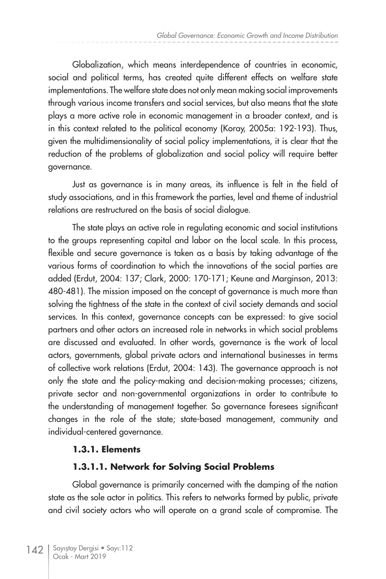Globalization, which means interdependence of countries in economic, social and political terms, has created quite different effects on welfare state implementations. The welfare state does not only mean making social improvements through various income transfers and social services, but also means that the state plays a more active role in economic management in a broader context, and is in this context related to the political economy (Koray, 2005a: 192-193). Thus, given the multidimensionality of social policy implementations, it is clear that the reduction of the problems of globalization and social policy will require better governance.

Just as governance is in many areas, its influence is felt in the field of study associations, and in this framework the parties, level and theme of industrial relations are restructured on the basis of social dialogue.

The state plays an active role in regulating economic and social institutions to the groups representing capital and labor on the local scale. In this process, flexible and secure governance is taken as a basis by taking advantage of the various forms of coordination to which the innovations of the social parties are added (Erdut, 2004: 137; Clark, 2000: 170-171; Keune and Marginson, 2013: 480-481). The mission imposed on the concept of governance is much more than solving the tightness of the state in the context of civil society demands and social services. In this context, governance concepts can be expressed: to give social partners and other actors an increased role in networks in which social problems are discussed and evaluated. In other words, governance is the work of local actors, governments, global private actors and international businesses in terms of collective work relations (Erdut, 2004: 143). The governance approach is not only the state and the policy-making and decision-making processes; citizens, private sector and non-governmental organizations in order to contribute to the understanding of management together. So governance foresees significant changes in the role of the state; state-based management, community and individual-centered governance.

#### **1.3.1. Elements**

#### **1.3.1.1. Network for Solving Social Problems**

Global governance is primarily concerned with the damping of the nation state as the sole actor in politics. This refers to networks formed by public, private and civil society actors who will operate on a grand scale of compromise. The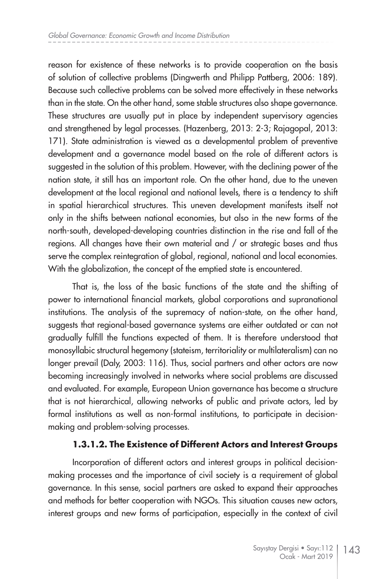reason for existence of these networks is to provide cooperation on the basis of solution of collective problems (Dingwerth and Philipp Pattberg, 2006: 189). Because such collective problems can be solved more effectively in these networks than in the state. On the other hand, some stable structures also shape governance. These structures are usually put in place by independent supervisory agencies and strengthened by legal processes. (Hazenberg, 2013: 2-3; Rajagopal, 2013: 171). State administration is viewed as a developmental problem of preventive development and a governance model based on the role of different actors is suggested in the solution of this problem. However, with the declining power of the nation state, it still has an important role. On the other hand, due to the uneven development at the local regional and national levels, there is a tendency to shift in spatial hierarchical structures. This uneven development manifests itself not only in the shifts between national economies, but also in the new forms of the north-south, developed-developing countries distinction in the rise and fall of the regions. All changes have their own material and / or strategic bases and thus serve the complex reintegration of global, regional, national and local economies. With the globalization, the concept of the emptied state is encountered.

That is, the loss of the basic functions of the state and the shifting of power to international financial markets, global corporations and supranational institutions. The analysis of the supremacy of nation-state, on the other hand, suggests that regional-based governance systems are either outdated or can not gradually fulfill the functions expected of them. It is therefore understood that monosyllabic structural hegemony (stateism, territoriality or multilateralism) can no longer prevail (Daly, 2003: 116). Thus, social partners and other actors are now becoming increasingly involved in networks where social problems are discussed and evaluated. For example, European Union governance has become a structure that is not hierarchical, allowing networks of public and private actors, led by formal institutions as well as non-formal institutions, to participate in decisionmaking and problem-solving processes.

### **1.3.1.2. The Existence of Different Actors and Interest Groups**

Incorporation of different actors and interest groups in political decisionmaking processes and the importance of civil society is a requirement of global governance. In this sense, social partners are asked to expand their approaches and methods for better cooperation with NGOs. This situation causes new actors, interest groups and new forms of participation, especially in the context of civil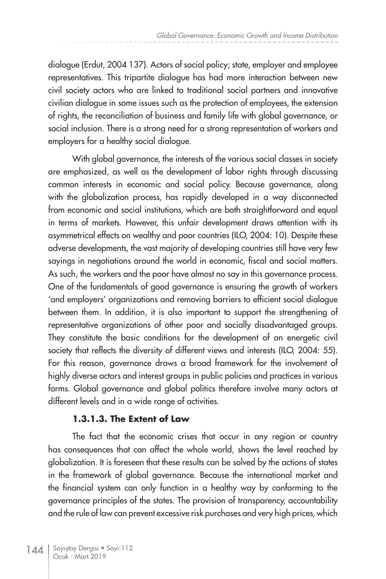dialogue (Erdut, 2004 137). Actors of social policy; state, employer and employee representatives. This tripartite dialogue has had more interaction between new civil society actors who are linked to traditional social partners and innovative civilian dialogue in some issues such as the protection of employees, the extension of rights, the reconciliation of business and family life with global governance, or social inclusion. There is a strong need for a strong representation of workers and employers for a healthy social dialogue.

With global governance, the interests of the various social classes in society are emphasized, as well as the development of labor rights through discussing common interests in economic and social policy. Because governance, along with the globalization process, has rapidly developed in a way disconnected from economic and social institutions, which are both straightforward and equal in terms of markets. However, this unfair development draws attention with its asymmetrical effects on wealthy and poor countries (ILO, 2004: 10). Despite these adverse developments, the vast majority of developing countries still have very few sayings in negotiations around the world in economic, fiscal and social matters. As such, the workers and the poor have almost no say in this governance process. One of the fundamentals of good governance is ensuring the growth of workers 'and employers' organizations and removing barriers to efficient social dialogue between them. In addition, it is also important to support the strengthening of representative organizations of other poor and socially disadvantaged groups. They constitute the basic conditions for the development of an energetic civil society that reflects the diversity of different views and interests (ILO, 2004: 55). For this reason, governance draws a broad framework for the involvement of highly diverse actors and interest groups in public policies and practices in various forms. Global governance and global politics therefore involve many actors at different levels and in a wide range of activities.

### **1.3.1.3. The Extent of Law**

The fact that the economic crises that occur in any region or country has consequences that can affect the whole world, shows the level reached by globalization. It is foreseen that these results can be solved by the actions of states in the framework of global governance. Because the international market and the financial system can only function in a healthy way by conforming to the governance principles of the states. The provision of transparency, accountability and the rule of law can prevent excessive risk purchases and very high prices, which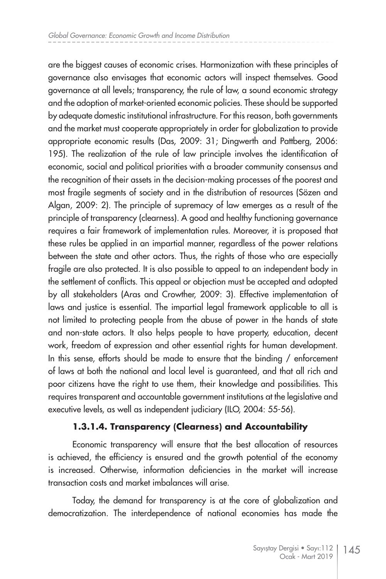are the biggest causes of economic crises. Harmonization with these principles of governance also envisages that economic actors will inspect themselves. Good governance at all levels; transparency, the rule of law, a sound economic strategy and the adoption of market-oriented economic policies. These should be supported by adequate domestic institutional infrastructure. For this reason, both governments and the market must cooperate appropriately in order for globalization to provide appropriate economic results (Das, 2009: 31; Dingwerth and Pattberg, 2006: 195). The realization of the rule of law principle involves the identification of economic, social and political priorities with a broader community consensus and the recognition of their assets in the decision-making processes of the poorest and most fragile segments of society and in the distribution of resources (Sözen and Algan, 2009: 2). The principle of supremacy of law emerges as a result of the principle of transparency (clearness). A good and healthy functioning governance requires a fair framework of implementation rules. Moreover, it is proposed that these rules be applied in an impartial manner, regardless of the power relations between the state and other actors. Thus, the rights of those who are especially fragile are also protected. It is also possible to appeal to an independent body in the settlement of conflicts. This appeal or objection must be accepted and adopted by all stakeholders (Aras and Crowther, 2009: 3). Effective implementation of laws and justice is essential. The impartial legal framework applicable to all is not limited to protecting people from the abuse of power in the hands of state and non-state actors. It also helps people to have property, education, decent work, freedom of expression and other essential rights for human development. In this sense, efforts should be made to ensure that the binding / enforcement of laws at both the national and local level is guaranteed, and that all rich and poor citizens have the right to use them, their knowledge and possibilities. This requires transparent and accountable government institutions at the legislative and executive levels, as well as independent judiciary (ILO, 2004: 55-56).

### **1.3.1.4. Transparency (Clearness) and Accountability**

Economic transparency will ensure that the best allocation of resources is achieved, the efficiency is ensured and the growth potential of the economy is increased. Otherwise, information deficiencies in the market will increase transaction costs and market imbalances will arise.

Today, the demand for transparency is at the core of globalization and democratization. The interdependence of national economies has made the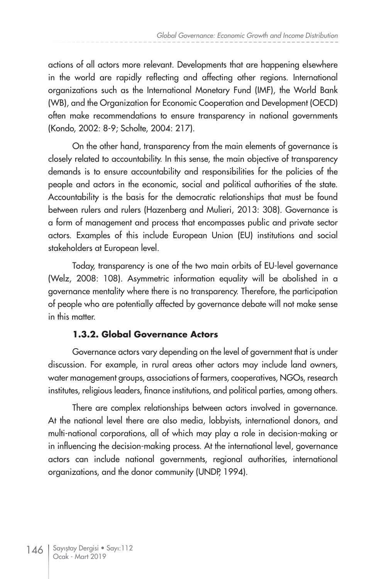actions of all actors more relevant. Developments that are happening elsewhere in the world are rapidly reflecting and affecting other regions. International organizations such as the International Monetary Fund (IMF), the World Bank (WB), and the Organization for Economic Cooperation and Development (OECD) often make recommendations to ensure transparency in national governments (Kondo, 2002: 8-9; Scholte, 2004: 217).

On the other hand, transparency from the main elements of governance is closely related to accountability. In this sense, the main objective of transparency demands is to ensure accountability and responsibilities for the policies of the people and actors in the economic, social and political authorities of the state. Accountability is the basis for the democratic relationships that must be found between rulers and rulers (Hazenberg and Mulieri, 2013: 308). Governance is a form of management and process that encompasses public and private sector actors. Examples of this include European Union (EU) institutions and social stakeholders at European level.

Today, transparency is one of the two main orbits of EU-level governance (Welz, 2008: 108). Asymmetric information equality will be abolished in a governance mentality where there is no transparency. Therefore, the participation of people who are potentially affected by governance debate will not make sense in this matter.

### **1.3.2. Global Governance Actors**

Governance actors vary depending on the level of government that is under discussion. For example, in rural areas other actors may include land owners, water management groups, associations of farmers, cooperatives, NGOs, research institutes, religious leaders, finance institutions, and political parties, among others.

There are complex relationships between actors involved in governance. At the national level there are also media, lobbyists, international donors, and multi-national corporations, all of which may play a role in decision-making or in influencing the decision-making process. At the international level, governance actors can include national governments, regional authorities, international organizations, and the donor community (UNDP, 1994).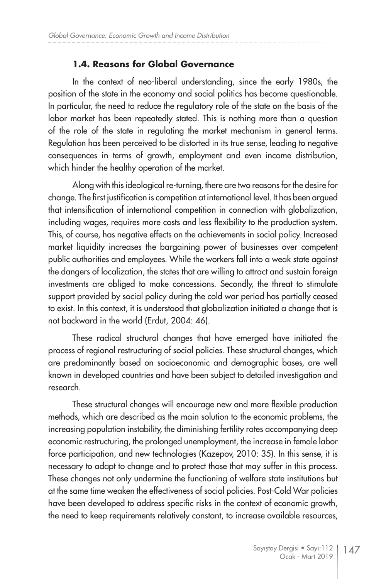#### **1.4. Reasons for Global Governance**

In the context of neo-liberal understanding, since the early 1980s, the position of the state in the economy and social politics has become questionable. In particular, the need to reduce the regulatory role of the state on the basis of the labor market has been repeatedly stated. This is nothing more than a question of the role of the state in regulating the market mechanism in general terms. Regulation has been perceived to be distorted in its true sense, leading to negative consequences in terms of growth, employment and even income distribution, which hinder the healthy operation of the market.

Along with this ideological re-turning, there are two reasons for the desire for change. The first justification is competition at international level. It has been argued that intensification of international competition in connection with globalization, including wages, requires more costs and less flexibility to the production system. This, of course, has negative effects on the achievements in social policy. Increased market liquidity increases the bargaining power of businesses over competent public authorities and employees. While the workers fall into a weak state against the dangers of localization, the states that are willing to attract and sustain foreign investments are obliged to make concessions. Secondly, the threat to stimulate support provided by social policy during the cold war period has partially ceased to exist. In this context, it is understood that globalization initiated a change that is not backward in the world (Erdut, 2004: 46).

These radical structural changes that have emerged have initiated the process of regional restructuring of social policies. These structural changes, which are predominantly based on socioeconomic and demographic bases, are well known in developed countries and have been subject to detailed investigation and research.

These structural changes will encourage new and more flexible production methods, which are described as the main solution to the economic problems, the increasing population instability, the diminishing fertility rates accompanying deep economic restructuring, the prolonged unemployment, the increase in female labor force participation, and new technologies (Kazepov, 2010: 35). In this sense, it is necessary to adapt to change and to protect those that may suffer in this process. These changes not only undermine the functioning of welfare state institutions but at the same time weaken the effectiveness of social policies. Post-Cold War policies have been developed to address specific risks in the context of economic growth, the need to keep requirements relatively constant, to increase available resources,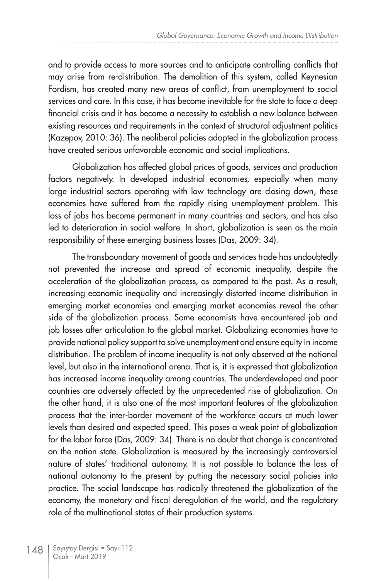and to provide access to more sources and to anticipate controlling conflicts that may arise from re-distribution. The demolition of this system, called Keynesian Fordism, has created many new areas of conflict, from unemployment to social services and care. In this case, it has become inevitable for the state to face a deep financial crisis and it has become a necessity to establish a new balance between existing resources and requirements in the context of structural adjustment politics (Kazepov, 2010: 36). The neoliberal policies adopted in the globalization process have created serious unfavorable economic and social implications.

Globalization has affected global prices of goods, services and production factors negatively. In developed industrial economies, especially when many large industrial sectors operating with low technology are closing down, these economies have suffered from the rapidly rising unemployment problem. This loss of jobs has become permanent in many countries and sectors, and has also led to deterioration in social welfare. In short, globalization is seen as the main responsibility of these emerging business losses (Das, 2009: 34).

The transboundary movement of goods and services trade has undoubtedly not prevented the increase and spread of economic inequality, despite the acceleration of the globalization process, as compared to the past. As a result, increasing economic inequality and increasingly distorted income distribution in emerging market economies and emerging market economies reveal the other side of the globalization process. Some economists have encountered job and job losses after articulation to the global market. Globalizing economies have to provide national policy support to solve unemployment and ensure equity in income distribution. The problem of income inequality is not only observed at the national level, but also in the international arena. That is, it is expressed that globalization has increased income inequality among countries. The underdeveloped and poor countries are adversely affected by the unprecedented rise of globalization. On the other hand, it is also one of the most important features of the globalization process that the inter-border movement of the workforce occurs at much lower levels than desired and expected speed. This poses a weak point of globalization for the labor force (Das, 2009: 34). There is no doubt that change is concentrated on the nation state. Globalization is measured by the increasingly controversial nature of states' traditional autonomy. It is not possible to balance the loss of national autonomy to the present by putting the necessary social policies into practice. The social landscape has radically threatened the globalization of the economy, the monetary and fiscal deregulation of the world, and the regulatory role of the multinational states of their production systems.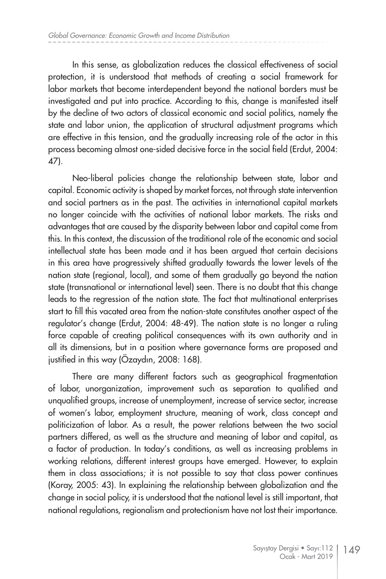In this sense, as globalization reduces the classical effectiveness of social protection, it is understood that methods of creating a social framework for labor markets that become interdependent beyond the national borders must be investigated and put into practice. According to this, change is manifested itself by the decline of two actors of classical economic and social politics, namely the state and labor union, the application of structural adjustment programs which are effective in this tension, and the gradually increasing role of the actor in this process becoming almost one-sided decisive force in the social field (Erdut, 2004: 47).

Neo-liberal policies change the relationship between state, labor and capital. Economic activity is shaped by market forces, not through state intervention and social partners as in the past. The activities in international capital markets no longer coincide with the activities of national labor markets. The risks and advantages that are caused by the disparity between labor and capital come from this. In this context, the discussion of the traditional role of the economic and social intellectual state has been made and it has been argued that certain decisions in this area have progressively shifted gradually towards the lower levels of the nation state (regional, local), and some of them gradually go beyond the nation state (transnational or international level) seen. There is no doubt that this change leads to the regression of the nation state. The fact that multinational enterprises start to fill this vacated area from the nation-state constitutes another aspect of the regulator's change (Erdut, 2004: 48-49). The nation state is no longer a ruling force capable of creating political consequences with its own authority and in all its dimensions, but in a position where governance forms are proposed and justified in this way (Özaydın, 2008: 168).

There are many different factors such as geographical fragmentation of labor, unorganization, improvement such as separation to qualified and unqualified groups, increase of unemployment, increase of service sector, increase of women's labor, employment structure, meaning of work, class concept and politicization of labor. As a result, the power relations between the two social partners differed, as well as the structure and meaning of labor and capital, as a factor of production. In today's conditions, as well as increasing problems in working relations, different interest groups have emerged. However, to explain them in class associations; it is not possible to say that class power continues (Koray, 2005: 43). In explaining the relationship between globalization and the change in social policy, it is understood that the national level is still important, that national regulations, regionalism and protectionism have not lost their importance.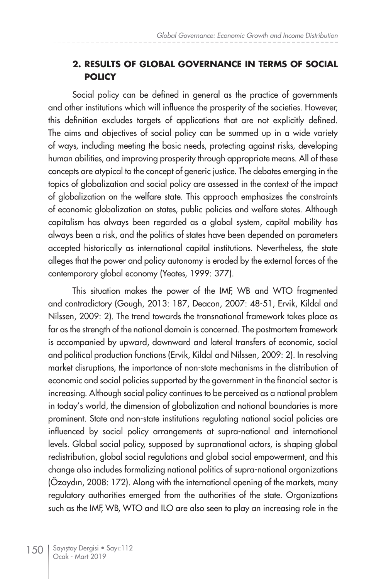#### **2. RESULTS OF GLOBAL GOVERNANCE IN TERMS OF SOCIAL POLICY**

Social policy can be defined in general as the practice of governments and other institutions which will influence the prosperity of the societies. However, this definition excludes targets of applications that are not explicitly defined. The aims and objectives of social policy can be summed up in a wide variety of ways, including meeting the basic needs, protecting against risks, developing human abilities, and improving prosperity through appropriate means. All of these concepts are atypical to the concept of generic justice. The debates emerging in the topics of globalization and social policy are assessed in the context of the impact of globalization on the welfare state. This approach emphasizes the constraints of economic globalization on states, public policies and welfare states. Although capitalism has always been regarded as a global system, capital mobility has always been a risk, and the politics of states have been depended on parameters accepted historically as international capital institutions. Nevertheless, the state alleges that the power and policy autonomy is eroded by the external forces of the contemporary global economy (Yeates, 1999: 377).

This situation makes the power of the IMF, WB and WTO fragmented and contradictory (Gough, 2013: 187, Deacon, 2007: 48-51, Ervik, Kildal and Nilssen, 2009: 2). The trend towards the transnational framework takes place as far as the strength of the national domain is concerned. The postmortem framework is accompanied by upward, downward and lateral transfers of economic, social and political production functions (Ervik, Kildal and Nilssen, 2009: 2). In resolving market disruptions, the importance of non-state mechanisms in the distribution of economic and social policies supported by the government in the financial sector is increasing. Although social policy continues to be perceived as a national problem in today's world, the dimension of globalization and national boundaries is more prominent. State and non-state institutions regulating national social policies are influenced by social policy arrangements at supra-national and international levels. Global social policy, supposed by supranational actors, is shaping global redistribution, global social regulations and global social empowerment, and this change also includes formalizing national politics of supra-national organizations (Özaydın, 2008: 172). Along with the international opening of the markets, many regulatory authorities emerged from the authorities of the state. Organizations such as the IMF, WB, WTO and ILO are also seen to play an increasing role in the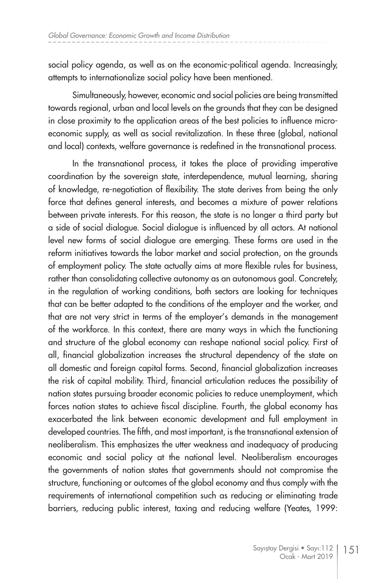social policy agenda, as well as on the economic-political agenda. Increasingly, attempts to internationalize social policy have been mentioned.

Simultaneously, however, economic and social policies are being transmitted towards regional, urban and local levels on the grounds that they can be designed in close proximity to the application areas of the best policies to influence microeconomic supply, as well as social revitalization. In these three (global, national and local) contexts, welfare governance is redefined in the transnational process.

In the transnational process, it takes the place of providing imperative coordination by the sovereign state, interdependence, mutual learning, sharing of knowledge, re-negotiation of flexibility. The state derives from being the only force that defines general interests, and becomes a mixture of power relations between private interests. For this reason, the state is no longer a third party but a side of social dialogue. Social dialogue is influenced by all actors. At national level new forms of social dialogue are emerging. These forms are used in the reform initiatives towards the labor market and social protection, on the grounds of employment policy. The state actually aims at more flexible rules for business, rather than consolidating collective autonomy as an autonomous goal. Concretely, in the regulation of working conditions, both sectors are looking for techniques that can be better adapted to the conditions of the employer and the worker, and that are not very strict in terms of the employer's demands in the management of the workforce. In this context, there are many ways in which the functioning and structure of the global economy can reshape national social policy. First of all, financial globalization increases the structural dependency of the state on all domestic and foreign capital forms. Second, financial globalization increases the risk of capital mobility. Third, financial articulation reduces the possibility of nation states pursuing broader economic policies to reduce unemployment, which forces nation states to achieve fiscal discipline. Fourth, the global economy has exacerbated the link between economic development and full employment in developed countries. The fifth, and most important, is the transnational extension of neoliberalism. This emphasizes the utter weakness and inadequacy of producing economic and social policy at the national level. Neoliberalism encourages the governments of nation states that governments should not compromise the structure, functioning or outcomes of the global economy and thus comply with the requirements of international competition such as reducing or eliminating trade barriers, reducing public interest, taxing and reducing welfare (Yeates, 1999: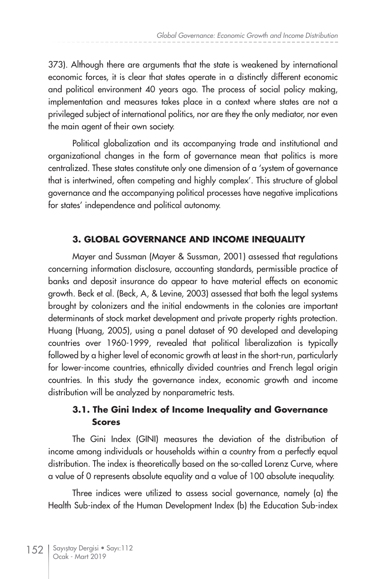373). Although there are arguments that the state is weakened by international economic forces, it is clear that states operate in a distinctly different economic and political environment 40 years ago. The process of social policy making, implementation and measures takes place in a context where states are not a privileged subject of international politics, nor are they the only mediator, nor even the main agent of their own society.

Political globalization and its accompanying trade and institutional and organizational changes in the form of governance mean that politics is more centralized. These states constitute only one dimension of a 'system of governance that is intertwined, often competing and highly complex'. This structure of global governance and the accompanying political processes have negative implications for states' independence and political autonomy.

#### **3. GLOBAL GOVERNANCE AND INCOME INEQUALITY**

Mayer and Sussman (Mayer & Sussman, 2001) assessed that regulations concerning information disclosure, accounting standards, permissible practice of banks and deposit insurance do appear to have material effects on economic growth. Beck et al. (Beck, A, & Levine, 2003) assessed that both the legal systems brought by colonizers and the initial endowments in the colonies are important determinants of stock market development and private property rights protection. Huang (Huang, 2005), using a panel dataset of 90 developed and developing countries over 1960-1999, revealed that political liberalization is typically followed by a higher level of economic growth at least in the short-run, particularly for lower-income countries, ethnically divided countries and French legal origin countries. In this study the governance index, economic growth and income distribution will be analyzed by nonparametric tests.

### **3.1. The Gini Index of Income Inequality and Governance Scores**

The Gini Index (GINI) measures the deviation of the distribution of income among individuals or households within a country from a perfectly equal distribution. The index is theoretically based on the so-called Lorenz Curve, where a value of 0 represents absolute equality and a value of 100 absolute inequality.

Three indices were utilized to assess social governance, namely (a) the Health Sub-index of the Human Development Index (b) the Education Sub-index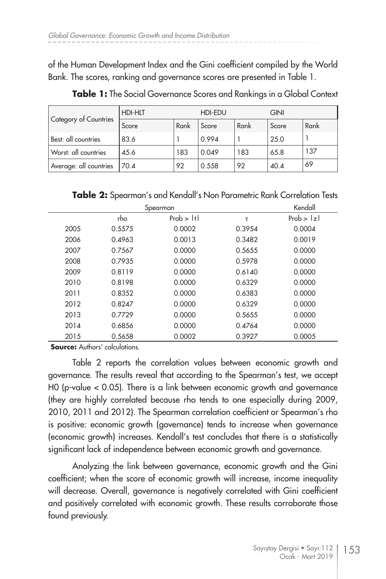of the Human Development Index and the Gini coefficient compiled by the World Bank. The scores, ranking and governance scores are presented in Table 1.

| Category of Countries  | <b>HDI-HLT</b> |      | HDI-EDU |      | <b>GINI</b> |      |
|------------------------|----------------|------|---------|------|-------------|------|
|                        | Score          | Rank | Score   | Rank | Score       | Rank |
| Best: all countries    | 83.6           |      | 0.994   |      | 25.0        |      |
| Worst: all countries   | 45.6           | 183  | 0.049   | 183  | 65.8        | 137  |
| Average: all countries | 70.4           | 92   | 0.558   | 92   | 40.4        | 69   |

**Table 1:** The Social Governance Scores and Rankings in a Global Context

**Table 2:** Spearman's and Kendall's Non Parametric Rank Correlation Tests

|      | Kendall |           |        |           |
|------|---------|-----------|--------|-----------|
|      | rho     | Prob >  t | τ      | Prob >  z |
| 2005 | 0.5575  | 0.0002    | 0.3954 | 0.0004    |
| 2006 | 0.4963  | 0.0013    | 0.3482 | 0.0019    |
| 2007 | 0.7567  | 0.0000    | 0.5655 | 0.0000    |
| 2008 | 0.7935  | 0.0000    | 0.5978 | 0.0000    |
| 2009 | 0.8119  | 0.0000    | 0.6140 | 0.0000    |
| 2010 | 0.8198  | 0.0000    | 0.6329 | 0.0000    |
| 2011 | 0.8352  | 0.0000    | 0.6383 | 0.0000    |
| 2012 | 0.8247  | 0.0000    | 0.6329 | 0.0000    |
| 2013 | 0.7729  | 0.0000    | 0.5655 | 0.0000    |
| 2014 | 0.6856  | 0.0000    | 0.4764 | 0.0000    |
| 2015 | 0.5658  | 0.0002    | 0.3927 | 0.0005    |

**Source:** Authors' calculations.

Table 2 reports the correlation values between economic growth and governance. The results reveal that according to the Spearman's test, we accept H0 (p-value < 0.05). There is a link between economic growth and governance (they are highly correlated because rho tends to one especially during 2009, 2010, 2011 and 2012). The Spearman correlation coefficient or Spearman's rho is positive: economic growth (governance) tends to increase when governance (economic growth) increases. Kendall's test concludes that there is a statistically significant lack of independence between economic growth and governance.

Analyzing the link between governance, economic growth and the Gini coefficient; when the score of economic growth will increase, income inequality will decrease. Overall, governance is negatively correlated with Gini coefficient and positively correlated with economic growth. These results corroborate those found previously.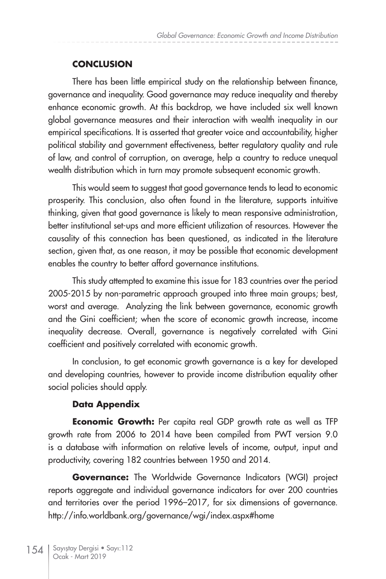## **CONCLUSION**

There has been little empirical study on the relationship between finance, governance and inequality. Good governance may reduce inequality and thereby enhance economic growth. At this backdrop, we have included six well known global governance measures and their interaction with wealth inequality in our empirical specifications. It is asserted that greater voice and accountability, higher political stability and government effectiveness, better regulatory quality and rule of law, and control of corruption, on average, help a country to reduce unequal wealth distribution which in turn may promote subsequent economic growth.

This would seem to suggest that good governance tends to lead to economic prosperity. This conclusion, also often found in the literature, supports intuitive thinking, given that good governance is likely to mean responsive administration, better institutional set-ups and more efficient utilization of resources. However the causality of this connection has been questioned, as indicated in the literature section, given that, as one reason, it may be possible that economic development enables the country to better afford governance institutions.

This study attempted to examine this issue for 183 countries over the period 2005-2015 by non-parametric approach grouped into three main groups; best, worst and average. Analyzing the link between governance, economic growth and the Gini coefficient; when the score of economic growth increase, income inequality decrease. Overall, governance is negatively correlated with Gini coefficient and positively correlated with economic growth.

In conclusion, to get economic growth governance is a key for developed and developing countries, however to provide income distribution equality other social policies should apply.

### **Data Appendix**

**Economic Growth:** Per capita real GDP growth rate as well as TFP growth rate from 2006 to 2014 have been compiled from PWT version 9.0 is a database with information on relative levels of income, output, input and productivity, covering 182 countries between 1950 and 2014.

**Governance:** The Worldwide Governance Indicators (WGI) project reports aggregate and individual governance indicators for over 200 countries and territories over the period 1996–2017, for six dimensions of governance. http://info.worldbank.org/governance/wgi/index.aspx#home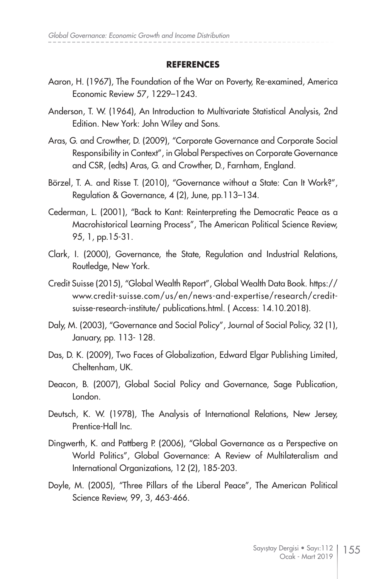#### **REFERENCES**

- Aaron, H. (1967), The Foundation of the War on Poverty, Re-examined, America Economic Review 57, 1229–1243.
- Anderson, T. W. (1964), An Introduction to Multivariate Statistical Analysis, 2nd Edition. New York: John Wiley and Sons.
- Aras, G. and Crowther, D. (2009), "Corporate Governance and Corporate Social Responsibility in Context", in Global Perspectives on Corporate Governance and CSR, (edts) Aras, G. and Crowther, D., Farnham, England.
- Börzel, T. A. and Risse T. (2010), "Governance without a State: Can It Work?", Regulation & Governance, 4 (2), June, pp.113–134.
- Cederman, L. (2001), "Back to Kant: Reinterpreting the Democratic Peace as a Macrohistorical Learning Process", The American Political Science Review, 95, 1, pp.15-31.
- Clark, I. (2000), Governance, the State, Regulation and Industrial Relations, Routledge, New York.
- Credit Suisse (2015), "Global Wealth Report", Global Wealth Data Book. https:// www.credit-suisse.com/us/en/news-and-expertise/research/creditsuisse-research-institute/ publications.html. ( Access: 14.10.2018).
- Daly, M. (2003), "Governance and Social Policy", Journal of Social Policy, 32 (1), January, pp. 113- 128.
- Das, D. K. (2009), Two Faces of Globalization, Edward Elgar Publishing Limited, Cheltenham, UK.
- Deacon, B. (2007), Global Social Policy and Governance, Sage Publication, London.
- Deutsch, K. W. (1978), The Analysis of International Relations, New Jersey, Prentice-Hall Inc.
- Dingwerth, K. and Pattberg P. (2006), "Global Governance as a Perspective on World Politics", Global Governance: A Review of Multilateralism and International Organizations, 12 (2), 185-203.
- Doyle, M. (2005), "Three Pillars of the Liberal Peace", The American Political Science Review, 99, 3, 463-466.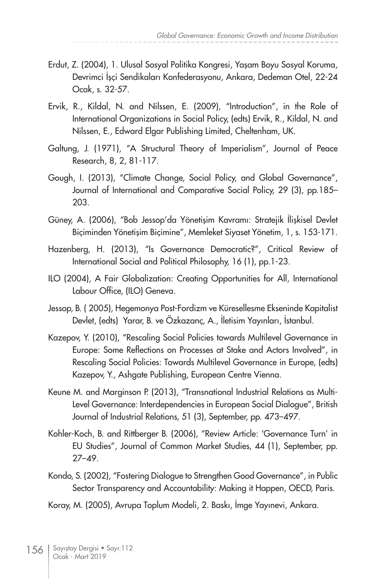- Erdut, Z. (2004), 1. Ulusal Sosyal Politika Kongresi, Yaşam Boyu Sosyal Koruma, Devrimci İşçi Sendikaları Konfederasyonu, Ankara, Dedeman Otel, 22-24 Ocak, s. 32-57.
- Ervik, R., Kildal, N. and Nilssen, E. (2009), "Introduction", in the Role of International Organizations in Social Policy, (edts) Ervik, R., Kildal, N. and Nilssen, E., Edward Elgar Publishing Limited, Cheltenham, UK.
- Galtung, J. (1971), "A Structural Theory of Imperialism", Journal of Peace Research, 8, 2, 81-117.
- Gough, I. (2013), "Climate Change, Social Policy, and Global Governance", Journal of International and Comparative Social Policy, 29 (3), pp.185– 203.
- Güney, A. (2006), "Bob Jessop'da Yönetişim Kavramı: Stratejik İlişkisel Devlet Biçiminden Yönetişim Biçimine", Memleket Siyaset Yönetim, 1, s. 153-171.
- Hazenberg, H. (2013), "Is Governance Democratic?", Critical Review of International Social and Political Philosophy, 16 (1), pp.1-23.
- ILO (2004), A Fair Globalization: Creating Opportunities for All, International Labour Office, (ILO) Geneva.
- Jessop, B. ( 2005), Hegemonya Post-Fordizm ve Küresellesme Ekseninde Kapitalist Devlet, (edts) Yarar, B. ve Özkazanç, A., İletisim Yayınları, İstanbul.
- Kazepov, Y. (2010), "Rescaling Social Policies towards Multilevel Governance in Europe: Some Reflections on Processes at Stake and Actors Involved", in Rescaling Social Policies: Towards Multilevel Governance in Europe, (edts) Kazepov, Y., Ashgate Publishing, European Centre Vienna.
- Keune M. and Marginson P. (2013), "Transnational Industrial Relations as Multi-Level Governance: Interdependencies in European Social Dialogue", British Journal of Industrial Relations, 51 (3), September, pp. 473–497.
- Kohler-Koch, B. and Rittberger B. (2006), "Review Article: 'Governance Turn' in EU Studies", Journal of Common Market Studies, 44 (1), September, pp. 27–49.
- Kondo, S. (2002), "Fostering Dialogue to Strengthen Good Governance", in Public Sector Transparency and Accountability: Making it Happen, OECD, Paris.
- Koray, M. (2005), Avrupa Toplum Modeli, 2. Baskı, İmge Yayınevi, Ankara.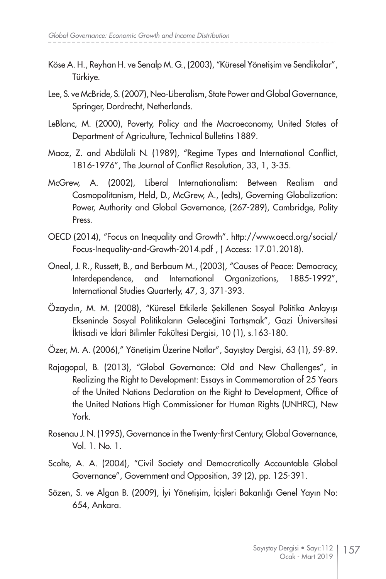- Köse A. H., Reyhan H. ve Senalp M. G., (2003), "Küresel Yönetişim ve Sendikalar", Türkiye.
- Lee, S. ve McBride, S. (2007), Neo-Liberalism, State Power and Global Governance, Springer, Dordrecht, Netherlands.
- LeBlanc, M. (2000), Poverty, Policy and the Macroeconomy, United States of Department of Agriculture, Technical Bulletins 1889.
- Maoz, Z. and Abdülali N. (1989), "Regime Types and International Conflict, 1816-1976", The Journal of Conflict Resolution, 33, 1, 3-35.
- McGrew, A. (2002), Liberal Internationalism: Between Realism and Cosmopolitanism, Held, D., McGrew, A., (edts), Governing Globalization: Power, Authority and Global Governance, (267-289), Cambridge, Polity Press.
- OECD (2014), "Focus on Inequality and Growth". http://www.oecd.org/social/ Focus-Inequality-and-Growth-2014.pdf , ( Access: 17.01.2018).
- Oneal, J. R., Russett, B., and Berbaum M., (2003), "Causes of Peace: Democracy, Interdependence, and International Organizations, 1885-1992", International Studies Quarterly, 47, 3, 371-393.
- Özaydın, M. M. (2008), "Küresel Etkilerle Şekillenen Sosyal Politika Anlayışı Ekseninde Sosyal Politikaların Geleceğini Tartışmak", Gazi Üniversitesi İktisadi ve İdari Bilimler Fakültesi Dergisi, 10 (1), s.163-180.
- Özer, M. A. (2006)," Yönetişim Üzerine Notlar", Sayıştay Dergisi, 63 (1), 59-89.
- Rajagopal, B. (2013), "Global Governance: Old and New Challenges", in Realizing the Right to Development: Essays in Commemoration of 25 Years of the United Nations Declaration on the Right to Development, Office of the United Nations High Commissioner for Human Rights (UNHRC), New York.
- Rosenau J. N. (1995), Governance in the Twenty-first Century, Global Governance, Vol. 1. No. 1.
- Scolte, A. A. (2004), "Civil Society and Democratically Accountable Global Governance", Government and Opposition, 39 (2), pp. 125-391.
- Sözen, S. ve Algan B. (2009), İyi Yönetişim, İçişleri Bakanlığı Genel Yayın No: 654, Ankara.